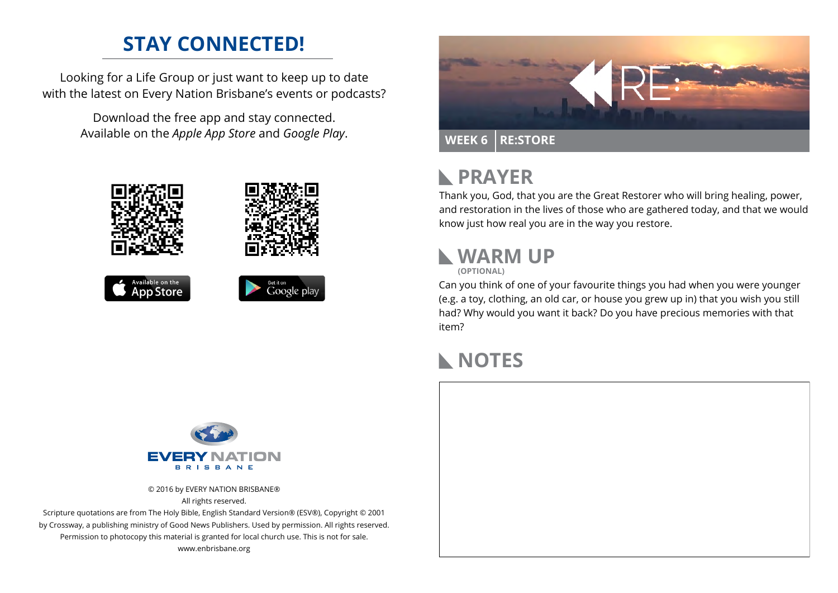## **STAY CONNECTED!**

Looking for a Life Group or just want to keep up to date with the latest on Every Nation Brisbane's events or podcasts?

> Download the free app and stay connected. Available on the *Apple App Store* and *Google Play*.





#### **PRAYER**  $\mathbb{R}$

Thank you, God, that you are the Great Restorer who will bring healing, power, and restoration in the lives of those who are gathered today, and that we would know just how real you are in the way you restore.

# **WARM UP**

**(OPTIONAL)**

Can you think of one of your favourite things you had when you were younger (e.g. a toy, clothing, an old car, or house you grew up in) that you wish you still had? Why would you want it back? Do you have precious memories with that item?

### **NOTES**



© 2016 by EVERY NATION BRISBANE® All rights reserved.

Scripture quotations are from The Holy Bible, English Standard Version® (ESV®), Copyright © 2001 by Crossway, a publishing ministry of Good News Publishers. Used by permission. All rights reserved. Permission to photocopy this material is granted for local church use. This is not for sale. www.enbrisbane.org